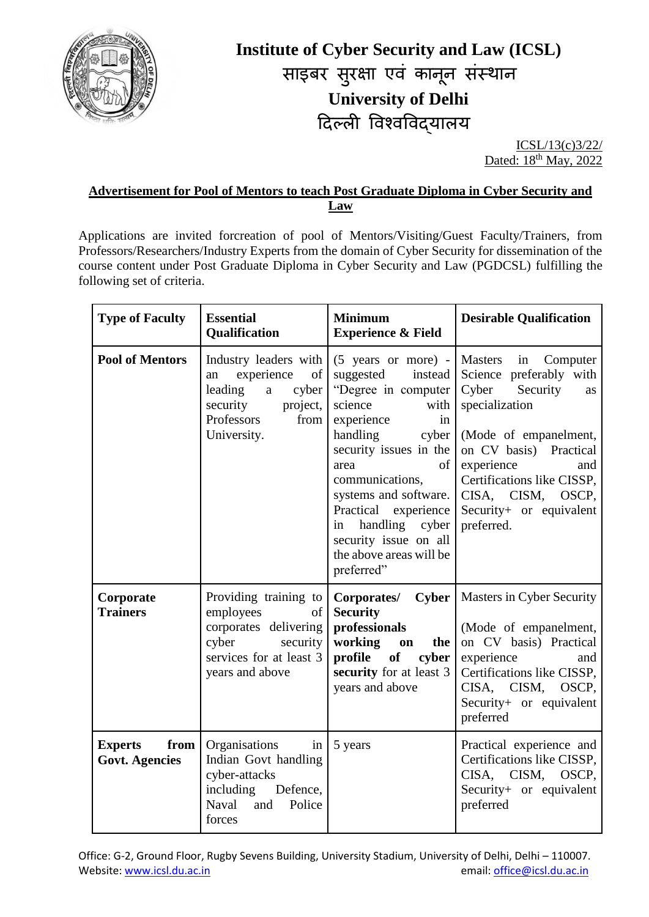

# **Institute of Cyber Security and Law (ICSL)** साइबर सुरक्षा एव कानून सस्थान **University of Delhi** दिल्ली ववश्वववद्यालय

ICSL/13(c)3/22/ Dated: 18<sup>th</sup> May, 2022

#### **Advertisement for Pool of Mentors to teach Post Graduate Diploma in Cyber Security and Law**

Applications are invited forcreation of pool of Mentors/Visiting/Guest Faculty/Trainers, from Professors/Researchers/Industry Experts from the domain of Cyber Security for dissemination of the course content under Post Graduate Diploma in Cyber Security and Law (PGDCSL) fulfilling the following set of criteria.

| <b>Type of Faculty</b>                          | <b>Essential</b><br>Qualification                                                                                                     | <b>Minimum</b><br><b>Experience &amp; Field</b>                                                                                                                                                                                                                                                                                                     | <b>Desirable Qualification</b>                                                                                                                                                                                                                                     |
|-------------------------------------------------|---------------------------------------------------------------------------------------------------------------------------------------|-----------------------------------------------------------------------------------------------------------------------------------------------------------------------------------------------------------------------------------------------------------------------------------------------------------------------------------------------------|--------------------------------------------------------------------------------------------------------------------------------------------------------------------------------------------------------------------------------------------------------------------|
| <b>Pool of Mentors</b>                          | Industry leaders with<br>experience<br>of<br>an<br>leading<br>cyber<br>a<br>security<br>project,<br>Professors<br>from<br>University. | $(5 \text{ years} \text{ or more})$ - Masters<br>suggested<br>"Degree in computer<br>science<br>with<br>experience<br>in<br>handling<br>cyber<br>security issues in the<br>of<br>area<br>communications,<br>systems and software.<br>Practical experience<br>handling cyber<br>in<br>security issue on all<br>the above areas will be<br>preferred" | in Computer<br>instead Science preferably with<br>Cyber<br>Security<br>as<br>specialization<br>(Mode of empanelment,<br>on CV basis) Practical<br>experience<br>and<br>Certifications like CISSP,<br>CISA, CISM,<br>OSCP,<br>Security+ or equivalent<br>preferred. |
| Corporate<br><b>Trainers</b>                    | Providing training to<br>employees<br>of<br>corporates delivering<br>cyber<br>security<br>services for at least 3<br>years and above  | Corporates/<br><b>Security</b><br>professionals<br>working<br>the  <br>on<br>profile<br>of<br>cyber<br>security for at least 3<br>years and above                                                                                                                                                                                                   | <b>Cyber</b>   Masters in Cyber Security<br>(Mode of empanelment,<br>on CV basis) Practical<br>experience<br>and<br>Certifications like CISSP,<br>CISA, CISM,<br>OSCP,<br>Security+ or equivalent<br>preferred                                                     |
| from<br><b>Experts</b><br><b>Govt. Agencies</b> | Organisations<br>in<br>Indian Govt handling<br>cyber-attacks<br>including<br>Defence,<br>and Police<br>Naval<br>forces                | 5 years                                                                                                                                                                                                                                                                                                                                             | Practical experience and<br>Certifications like CISSP,<br>CISA, CISM,<br>OSCP,<br>Security+ or equivalent<br>preferred                                                                                                                                             |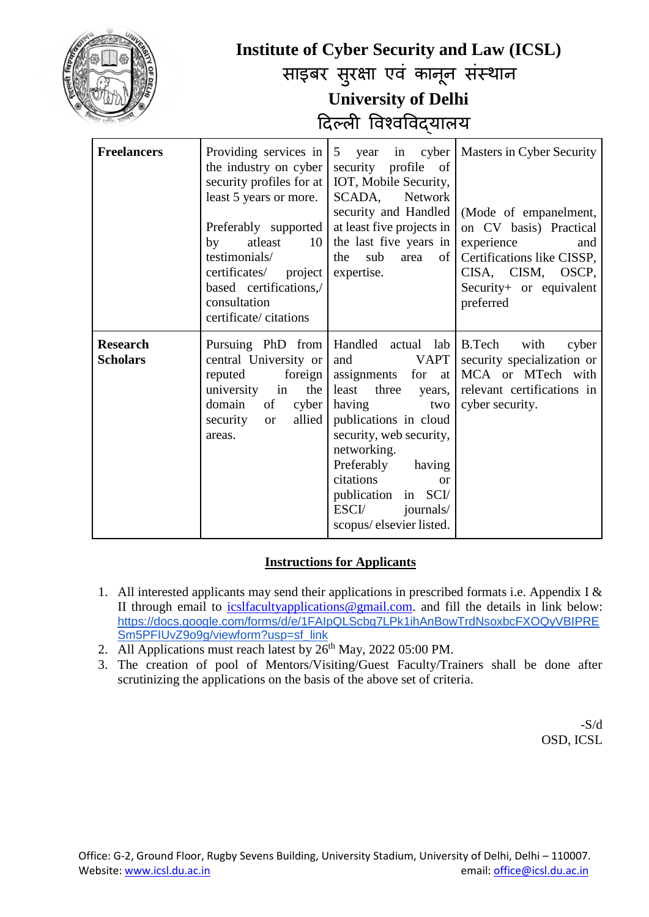|                                    | <b>Institute of Cyber Security and Law (ICSL)</b><br>साइबर सुरक्षा एवं कानून संस्थान<br><b>University of Delhi</b><br>दिल्ली विश्वविद्यालय                                                                                                                       |                                                                                                                                                                                                                                                                                                                                       |                                                                                                                                                                                              |
|------------------------------------|------------------------------------------------------------------------------------------------------------------------------------------------------------------------------------------------------------------------------------------------------------------|---------------------------------------------------------------------------------------------------------------------------------------------------------------------------------------------------------------------------------------------------------------------------------------------------------------------------------------|----------------------------------------------------------------------------------------------------------------------------------------------------------------------------------------------|
| <b>Freelancers</b>                 | Providing services in<br>the industry on cyber<br>security profiles for at<br>least 5 years or more.<br>Preferably supported<br>atleast<br>by<br>10<br>testimonials/<br>certificates/ project<br>based certifications,/<br>consultation<br>certificate/citations | $5\overline{)}$<br>cyber<br>year<br>in<br>security profile<br>of<br>IOT, Mobile Security,<br>SCADA,<br>Network<br>security and Handled<br>at least five projects in<br>the last five years in<br>the<br>sub<br>of  <br>area<br>expertise.                                                                                             | Masters in Cyber Security<br>(Mode of empanelment,<br>on CV basis) Practical<br>experience<br>and<br>Certifications like CISSP,<br>CISA, CISM, OSCP,<br>Security+ or equivalent<br>preferred |
| <b>Research</b><br><b>Scholars</b> | central University or<br>reputed<br>foreign<br>university in<br>the<br>domain<br>cyber<br>of<br>security<br>allied<br><b>or</b><br>areas.                                                                                                                        | Pursuing PhD from   Handled actual lab   B.Tech<br><b>VAPT</b><br>and<br>assignments for at<br>least<br>three<br>years,<br>having<br>two<br>publications in cloud<br>security, web security,<br>networking.<br>Preferably<br>having<br>citations<br><b>or</b><br>publication in SCI/<br>ESCI/<br>journals/<br>scopus/elsevier listed. | with<br>cyber<br>security specialization or<br>MCA or MTech with<br>relevant certifications in<br>cyber security.                                                                            |

#### **Instructions for Applicants**

- 1. All interested applicants may send their applications in prescribed formats i.e. Appendix I  $\&$ II through email to [icslfacultyapplications@gmail.com.](mailto:icslfacultyapplications@gmail.com) and fill the details in link below: [https://docs.google.com/forms/d/e/1FAIpQLScbg7LPk1ihAnBowTrdNsoxbcFXOQyVBIPRE](https://docs.google.com/forms/d/e/1FAIpQLScbg7LPk1ihAnBowTrdNsoxbcFXOQyVBIPRESm5PFIUvZ9o9g/viewform?usp=sf_link) [Sm5PFIUvZ9o9g/viewform?usp=sf\\_link](https://docs.google.com/forms/d/e/1FAIpQLScbg7LPk1ihAnBowTrdNsoxbcFXOQyVBIPRESm5PFIUvZ9o9g/viewform?usp=sf_link)
- 2. All Applications must reach latest by  $26<sup>th</sup>$  May, 2022 05:00 PM.
- 3. The creation of pool of Mentors/Visiting/Guest Faculty/Trainers shall be done after scrutinizing the applications on the basis of the above set of criteria.

 $-S/d$ OSD, ICSL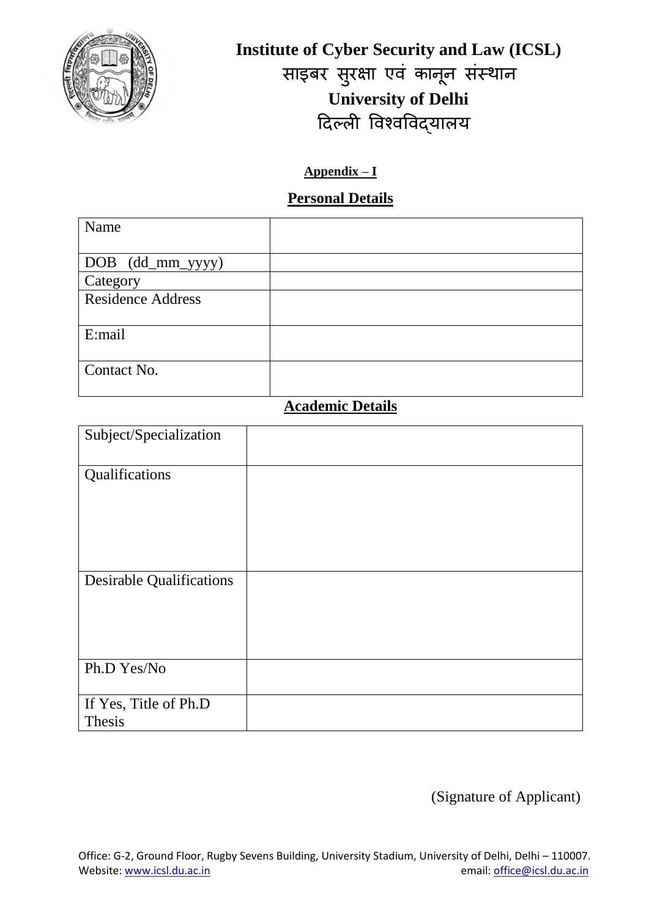

**Institute of Cyber Security and Law (ICSL)** साइबर सुरक्षा एव कानून सस्थान **University of Delhi** दिल्ली ववश्वववद्यालय

### **Appendix – I**

### **Personal Details**

| Name                     |  |
|--------------------------|--|
|                          |  |
| DOB (dd_mm_yyyy)         |  |
| Category                 |  |
| <b>Residence Address</b> |  |
| E:mail                   |  |
| Contact No.              |  |

## **Academic Details**

| Subject/Specialization          |  |
|---------------------------------|--|
| Qualifications                  |  |
| <b>Desirable Qualifications</b> |  |
| Ph.D Yes/No                     |  |
| If Yes, Title of Ph.D<br>Thesis |  |

(Signature of Applicant)